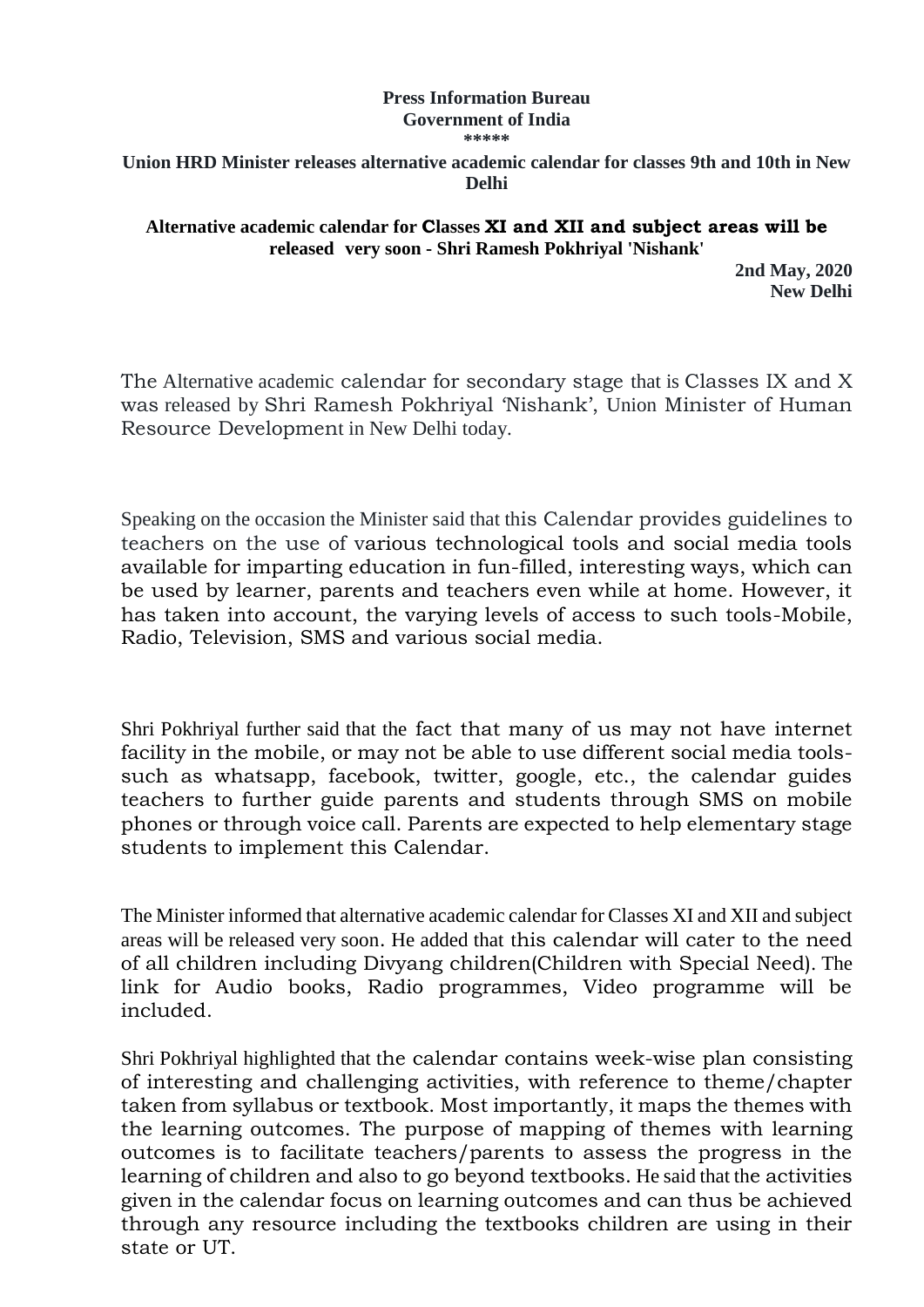## **Press Information Bureau Government of India \*\*\*\*\***

**Union HRD Minister releases alternative academic calendar for classes 9th and 10th in New Delhi** 

**Alternative academic calendar for Classes XI and XII and subject areas will be released very soon - Shri Ramesh Pokhriyal 'Nishank'**

> **2nd May, 2020 New Delhi**

The Alternative academic calendar for secondary stage that is Classes IX and X was released by Shri Ramesh Pokhriyal 'Nishank', Union Minister of Human Resource Development in New Delhi today.

Speaking on the occasion the Minister said that this Calendar provides guidelines to teachers on the use of various technological tools and social media tools available for imparting education in fun-filled, interesting ways, which can be used by learner, parents and teachers even while at home. However, it has taken into account, the varying levels of access to such tools-Mobile, Radio, Television, SMS and various social media.

Shri Pokhriyal further said that the fact that many of us may not have internet facility in the mobile, or may not be able to use different social media toolssuch as whatsapp, facebook, twitter, google, etc., the calendar guides teachers to further guide parents and students through SMS on mobile phones or through voice call. Parents are expected to help elementary stage students to implement this Calendar.

The Minister informed that alternative academic calendar for Classes XI and XII and subject areas will be released very soon. He added that this calendar will cater to the need of all children including Divyang children(Children with Special Need). The link for Audio books, Radio programmes, Video programme will be included.

Shri Pokhriyal highlighted that the calendar contains week-wise plan consisting of interesting and challenging activities, with reference to theme/chapter taken from syllabus or textbook. Most importantly, it maps the themes with the learning outcomes. The purpose of mapping of themes with learning outcomes is to facilitate teachers/parents to assess the progress in the learning of children and also to go beyond textbooks. He said that the activities given in the calendar focus on learning outcomes and can thus be achieved through any resource including the textbooks children are using in their state or UT.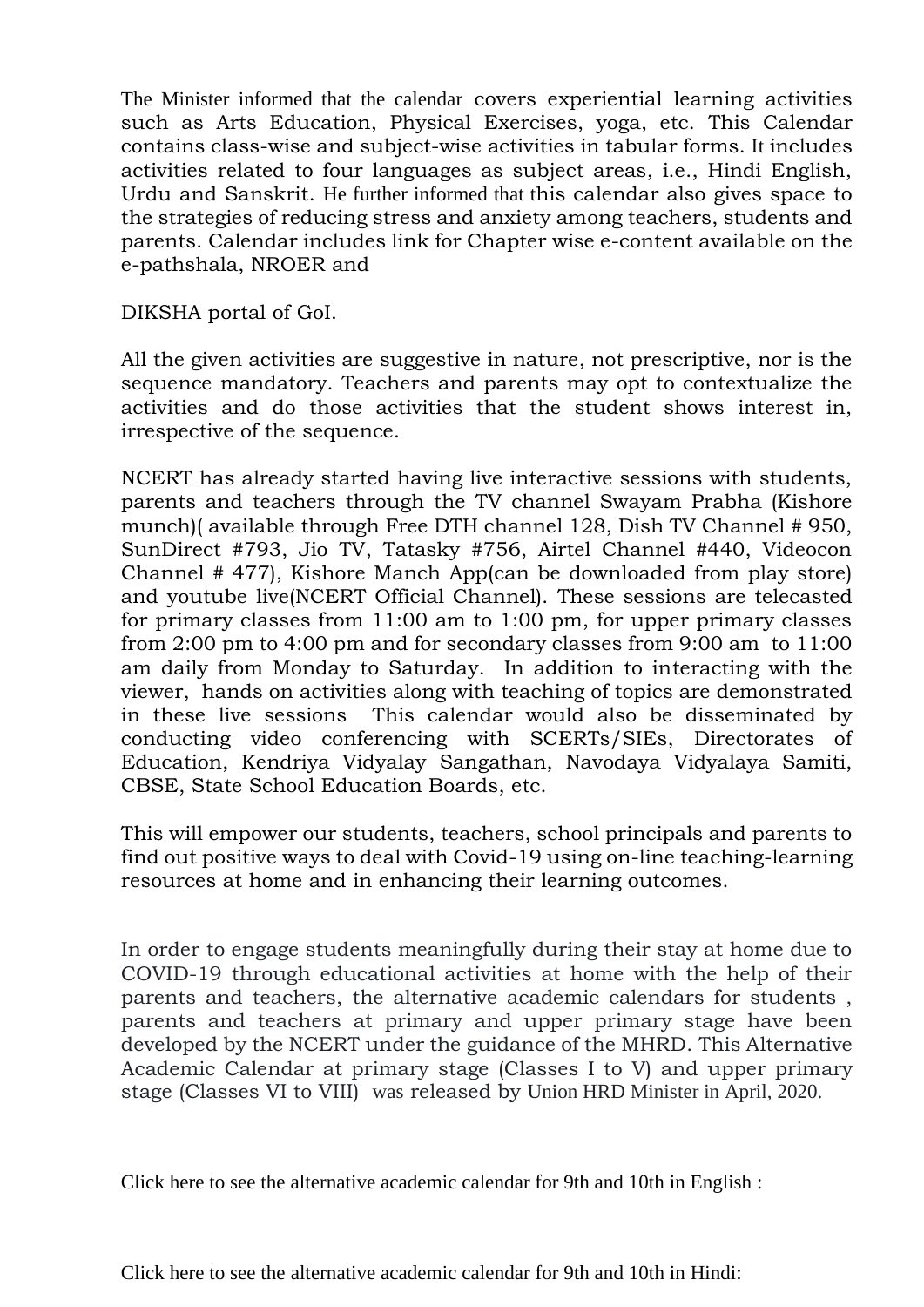The Minister informed that the calendar covers experiential learning activities such as Arts Education, Physical Exercises, yoga, etc. This Calendar contains class-wise and subject-wise activities in tabular forms. It includes activities related to four languages as subject areas, i.e., Hindi English, Urdu and Sanskrit. He further informed that this calendar also gives space to the strategies of reducing stress and anxiety among teachers, students and parents. Calendar includes link for Chapter wise e-content available on the e-pathshala, NROER and

DIKSHA portal of GoI.

All the given activities are suggestive in nature, not prescriptive, nor is the sequence mandatory. Teachers and parents may opt to contextualize the activities and do those activities that the student shows interest in, irrespective of the sequence.

NCERT has already started having live interactive sessions with students, parents and teachers through the TV channel Swayam Prabha (Kishore munch)( available through Free DTH channel 128, Dish TV Channel # 950, SunDirect #793, Jio TV, Tatasky #756, Airtel Channel #440, Videocon Channel # 477), Kishore Manch App(can be downloaded from play store) and youtube live(NCERT Official Channel). These sessions are telecasted for primary classes from 11:00 am to 1:00 pm, for upper primary classes from 2:00 pm to 4:00 pm and for secondary classes from 9:00 am to 11:00 am daily from Monday to Saturday. In addition to interacting with the viewer, hands on activities along with teaching of topics are demonstrated in these live sessions This calendar would also be disseminated by conducting video conferencing with SCERTs/SIEs, Directorates of Education, Kendriya Vidyalay Sangathan, Navodaya Vidyalaya Samiti, CBSE, State School Education Boards, etc.

This will empower our students, teachers, school principals and parents to find out positive ways to deal with Covid-19 using on-line teaching-learning resources at home and in enhancing their learning outcomes.

In order to engage students meaningfully during their stay at home due to COVID-19 through educational activities at home with the help of their parents and teachers, the alternative academic calendars for students , parents and teachers at primary and upper primary stage have been developed by the NCERT under the guidance of the MHRD. This Alternative Academic Calendar at primary stage (Classes I to V) and upper primary stage (Classes VI to VIII) was released by Union HRD Minister in April, 2020.

Click here to see the alternative academic calendar for 9th and 10th in English :

Click here to see the alternative academic calendar for 9th and 10th in Hindi: